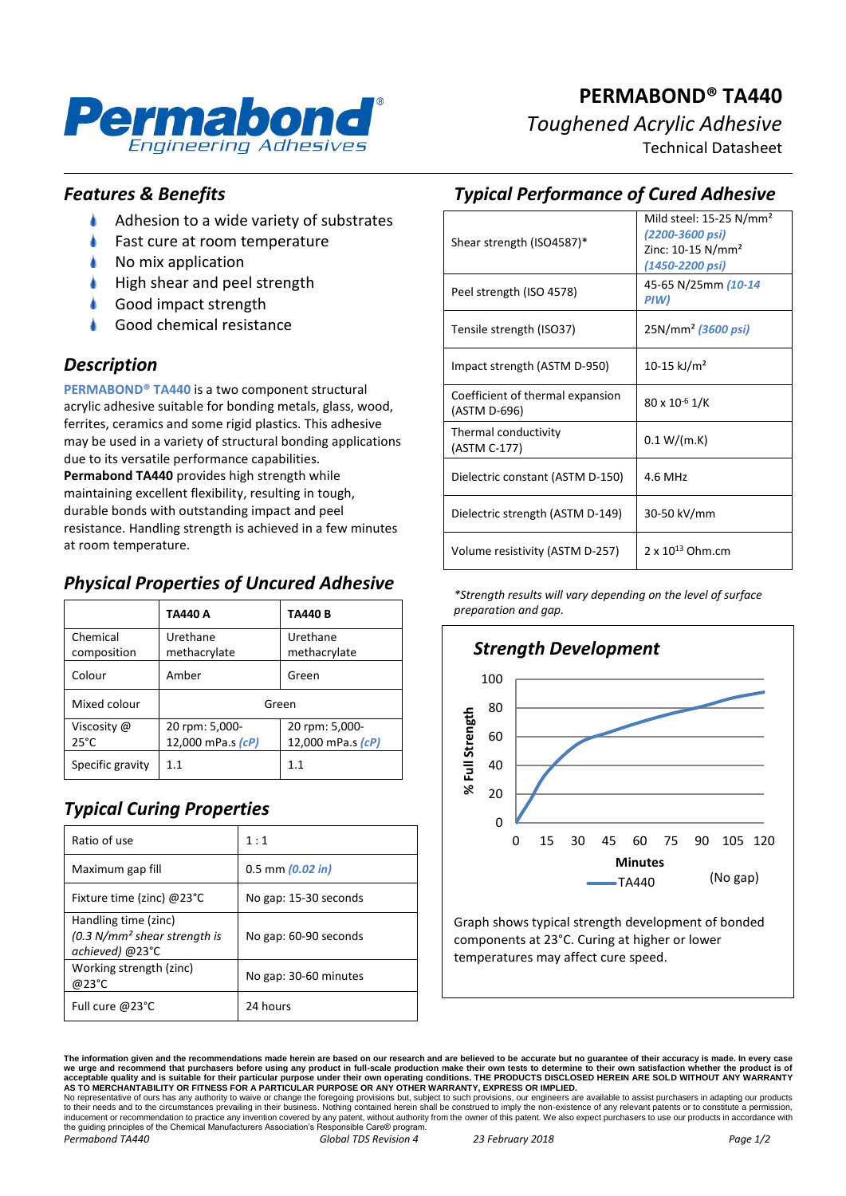

# **PERMABOND® TA440** *Toughened Acrylic Adhesive* Technical Datasheet

*Features & Benefits*

- ۸ Adhesion to a wide variety of substrates
- Fast cure at room temperature
- No mix application
- High shear and peel strength
- Good impact strength
- Good chemical resistance

## *Description*

**PERMABOND® TA440** is a two component structural acrylic adhesive suitable for bonding metals, glass, wood, ferrites, ceramics and some rigid plastics. This adhesive may be used in a variety of structural bonding applications due to its versatile performance capabilities. **Permabond TA440** provides high strength while maintaining excellent flexibility, resulting in tough, durable bonds with outstanding impact and peel resistance. Handling strength is achieved in a few minutes at room temperature.

## *Physical Properties of Uncured Adhesive*

|                               | TA440 A                             | <b>TA440B</b>                       |  |
|-------------------------------|-------------------------------------|-------------------------------------|--|
| Chemical<br>composition       | Urethane<br>methacrylate            | Urethane<br>methacrylate            |  |
| Colour                        | Amber                               | Green                               |  |
| Mixed colour                  | Green                               |                                     |  |
| Viscosity @<br>$25^{\circ}$ C | 20 rpm: 5,000-<br>12,000 mPa.s (cP) | 20 rpm: 5,000-<br>12,000 mPa.s (cP) |  |
| Specific gravity              | 11                                  | 1.1                                 |  |

# *Typical Curing Properties*

| Ratio of use                                                              | 1:1                   |  |  |
|---------------------------------------------------------------------------|-----------------------|--|--|
| Maximum gap fill                                                          | $0.5$ mm $(0.02$ in)  |  |  |
| Fixture time (zinc) @23°C                                                 | No gap: 15-30 seconds |  |  |
| Handling time (zinc)<br>$(0.3 N/mm2 shear strength is$<br>achieved) @23°C | No gap: 60-90 seconds |  |  |
| Working strength (zinc)<br>@23°C                                          | No gap: 30-60 minutes |  |  |
| Full cure @23°C                                                           | 24 hours              |  |  |

| <b>Typical Performance of Cured Adhesive</b> |  |  |  |  |  |
|----------------------------------------------|--|--|--|--|--|
|----------------------------------------------|--|--|--|--|--|

| Shear strength (ISO4587)*                        | Mild steel: $15-25$ N/mm <sup>2</sup><br>(2200-3600 psi)<br>Zinc: 10-15 N/mm <sup>2</sup><br>(1450-2200 psi) |  |  |
|--------------------------------------------------|--------------------------------------------------------------------------------------------------------------|--|--|
| Peel strength (ISO 4578)                         | 45-65 N/25mm (10-14<br>PIW)                                                                                  |  |  |
| Tensile strength (ISO37)                         | 25N/mm <sup>2</sup> (3600 psi)                                                                               |  |  |
| Impact strength (ASTM D-950)                     | 10-15 kJ/m <sup>2</sup>                                                                                      |  |  |
| Coefficient of thermal expansion<br>(ASTM D-696) | $80 \times 10^{-6}$ 1/K                                                                                      |  |  |
| Thermal conductivity<br>(ASTM C-177)             | 0.1 W/(m.K)                                                                                                  |  |  |
| Dielectric constant (ASTM D-150)                 | 4.6 MHz                                                                                                      |  |  |
| Dielectric strength (ASTM D-149)                 | 30-50 kV/mm                                                                                                  |  |  |
| Volume resistivity (ASTM D-257)                  | 2 x $10^{13}$ Ohm.cm                                                                                         |  |  |

*\*Strength results will vary depending on the level of surface preparation and gap.*



Graph shows typical strength development of bonded components at 23°C. Curing at higher or lower temperatures may affect cure speed.

**The information given and the recommendations made herein are based on our research and are believed to be accurate but no guarantee of their accuracy is made. In every case**  we urge and recommend that purchasers before using any product in full-scale production make their own tests to determine to their own satisfaction whether the product is of<br>acceptable quality and is suitable for their par No representative of ours has any authority to waive or change the foregoing provisions but, subject to such provisions, our engineers are available to assist purchasers in adapting our products<br>to their needs and to the c

the guiding principles of the Chemical Manufacturers Association's Responsible Care® program. *Permabond TA440 Global TDS Revision 4 23 February 2018 Page 1/2*